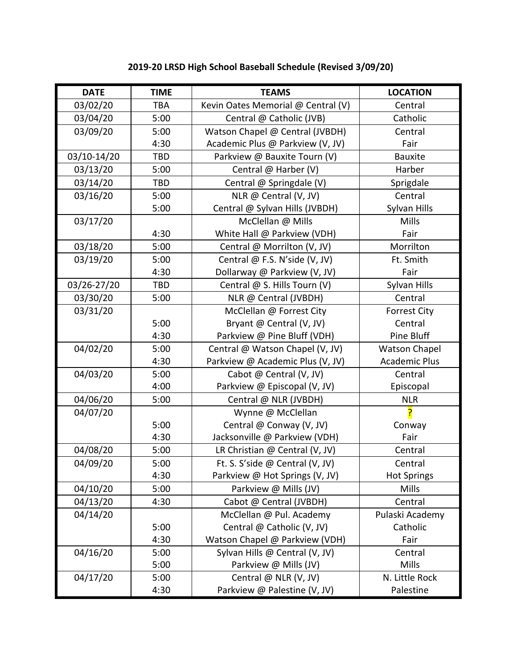| <b>DATE</b> | <b>TIME</b> | <b>TEAMS</b>                       | <b>LOCATION</b>      |
|-------------|-------------|------------------------------------|----------------------|
| 03/02/20    | <b>TBA</b>  | Kevin Oates Memorial @ Central (V) | Central              |
| 03/04/20    | 5:00        | Central @ Catholic (JVB)           | Catholic             |
| 03/09/20    | 5:00        | Watson Chapel @ Central (JVBDH)    | Central              |
|             | 4:30        | Academic Plus @ Parkview (V, JV)   | Fair                 |
| 03/10-14/20 | <b>TBD</b>  | Parkview @ Bauxite Tourn (V)       | <b>Bauxite</b>       |
| 03/13/20    | 5:00        | Central @ Harber (V)               | Harber               |
| 03/14/20    | TBD         | Central @ Springdale (V)           | Sprigdale            |
| 03/16/20    | 5:00        | NLR @ Central (V, JV)              | Central              |
|             | 5:00        | Central @ Sylvan Hills (JVBDH)     | Sylvan Hills         |
| 03/17/20    |             | McClellan @ Mills                  | Mills                |
|             | 4:30        | White Hall @ Parkview (VDH)        | Fair                 |
| 03/18/20    | 5:00        | Central @ Morrilton (V, JV)        | Morrilton            |
| 03/19/20    | 5:00        | Central @ F.S. N'side (V, JV)      | Ft. Smith            |
|             | 4:30        | Dollarway @ Parkview (V, JV)       | Fair                 |
| 03/26-27/20 | <b>TBD</b>  | Central @ S. Hills Tourn (V)       | Sylvan Hills         |
| 03/30/20    | 5:00        | NLR @ Central (JVBDH)              | Central              |
| 03/31/20    |             | McClellan @ Forrest City           | <b>Forrest City</b>  |
|             | 5:00        | Bryant @ Central (V, JV)           | Central              |
|             | 4:30        | Parkview @ Pine Bluff (VDH)        | Pine Bluff           |
| 04/02/20    | 5:00        | Central @ Watson Chapel (V, JV)    | <b>Watson Chapel</b> |
|             | 4:30        | Parkview @ Academic Plus (V, JV)   | <b>Academic Plus</b> |
| 04/03/20    | 5:00        | Cabot @ Central (V, JV)            | Central              |
|             | 4:00        | Parkview @ Episcopal (V, JV)       | Episcopal            |
| 04/06/20    | 5:00        | Central @ NLR (JVBDH)              | <b>NLR</b>           |
| 04/07/20    |             | Wynne @ McClellan                  |                      |
|             | 5:00        | Central @ Conway (V, JV)           | Conway               |
|             | 4:30        | Jacksonville @ Parkview (VDH)      | Fair                 |
| 04/08/20    | 5:00        | LR Christian @ Central (V, JV)     | Central              |
| 04/09/20    | 5:00        | Ft. S. S'side @ Central (V, JV)    | Central              |
|             | 4:30        | Parkview @ Hot Springs (V, JV)     | <b>Hot Springs</b>   |
| 04/10/20    | 5:00        | Parkview @ Mills (JV)              | Mills                |
| 04/13/20    | 4:30        | Cabot @ Central (JVBDH)            | Central              |
| 04/14/20    |             | McClellan @ Pul. Academy           | Pulaski Academy      |
|             | 5:00        | Central @ Catholic (V, JV)         | Catholic             |
|             | 4:30        | Watson Chapel @ Parkview (VDH)     | Fair                 |
| 04/16/20    | 5:00        | Sylvan Hills @ Central (V, JV)     | Central              |
|             | 5:00        | Parkview @ Mills (JV)              | <b>Mills</b>         |
| 04/17/20    | 5:00        | Central @ NLR (V, JV)              | N. Little Rock       |
|             | 4:30        | Parkview @ Palestine (V, JV)       | Palestine            |

## **2019-20 LRSD High School Baseball Schedule (Revised 3/09/20)**